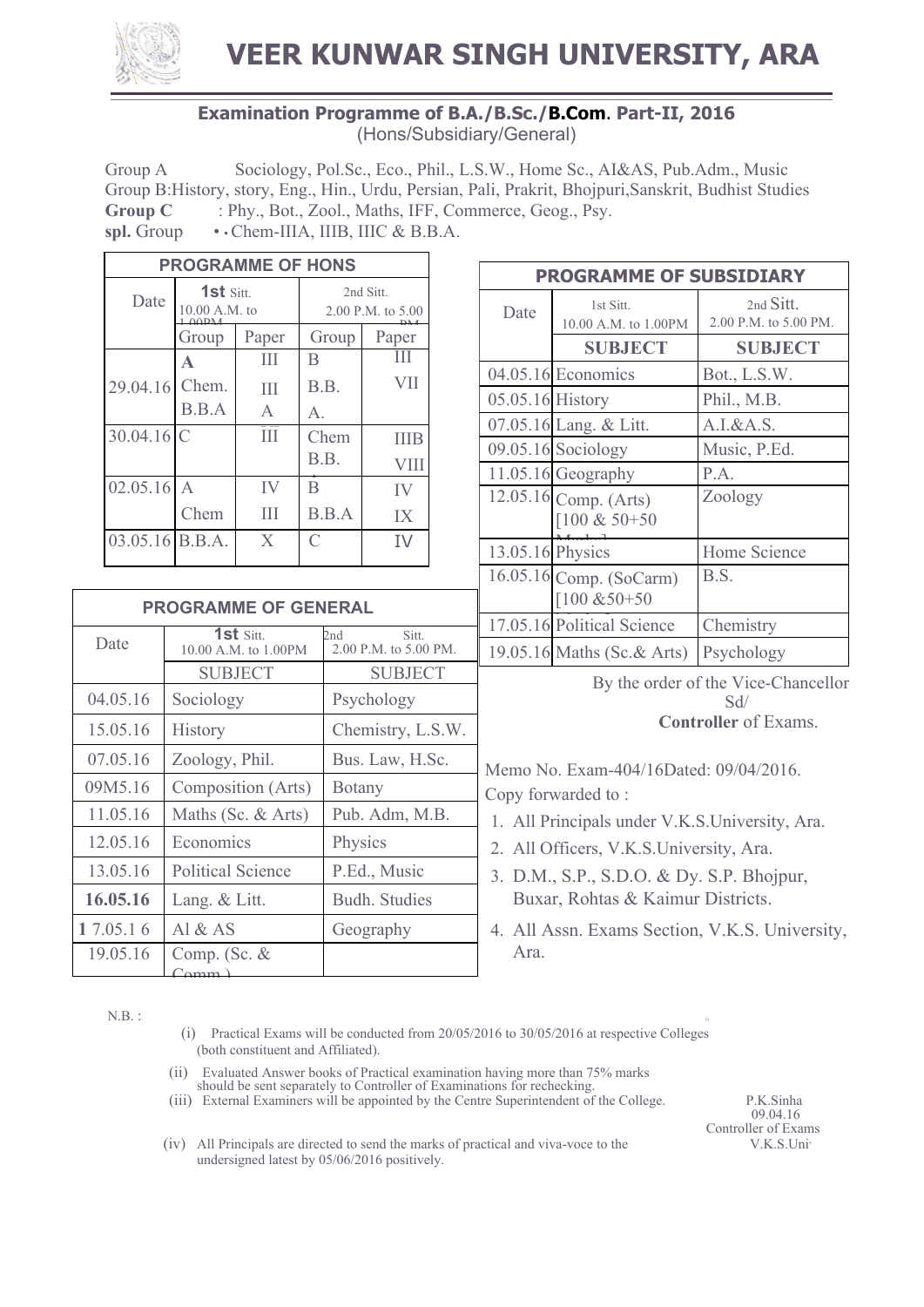

**VEER KUNWAR SINGH UNIVERSITY, ARA**

## **Examination Programme of B.A./B.Sc./B.Com**. **Part-II, 2016** (Hons/Subsidiary/General)

Group A Sociology, Pol.Sc., Eco., Phil., L.S.W., Home Sc., AI&AS, Pub.Adm., Music Group B:History, story, Eng., Hin., Urdu, Persian, Pali, Prakrit, Bhojpuri,Sanskrit, Budhist Studies **Group C** : Phy., Bot., Zool., Maths, IFF, Commerce, Geog., Psy. spl. Group • · Chem-IIIA, IIIB, IIIC & B.B.A.

| <b>PROGRAMME OF HONS</b> |                                   |              |                                |       |
|--------------------------|-----------------------------------|--------------|--------------------------------|-------|
| Date                     | 1st Sitt.<br>10.00 A.M. to<br>∩∩ש |              | 2nd Sitt.<br>2.00 P.M. to 5.00 |       |
|                          | Group                             | Paper        | Group                          | Paper |
|                          | A                                 | Ш            | B                              |       |
| 29.04.16                 | Chem.                             | Ш            | B.B.                           | VII   |
|                          | B.B.A                             | $\mathsf{A}$ | А.                             |       |
| 30.04.16                 | C                                 | Ш            | Chem                           | ШЕ    |
|                          |                                   |              | B.B.                           | VIII  |
| 02.05.16                 | $\mathsf{A}$                      | IV           | $\mathsf B$                    | IV    |
|                          | Chem                              | Ш            | B.B.A                          | IX    |
| $03.05.16$ B.B.A.        |                                   | X            | C                              | TV    |

| <b>PROGRAMME OF GENERAL</b> |                                             |                                       |  |
|-----------------------------|---------------------------------------------|---------------------------------------|--|
| Date                        | 1st $\mathrm{Sitt}$<br>10.00 A.M. to 1.00PM | 2nd<br>Sitt.<br>2.00 P.M. to 5.00 PM. |  |
|                             | <b>SUBJECT</b>                              | <b>SUBJECT</b>                        |  |
| 04.05.16                    | Sociology                                   | Psychology                            |  |
| 15.05.16                    | History                                     | Chemistry, L.S.W.                     |  |
| 07.05.16                    | Zoology, Phil.                              | Bus. Law, H.Sc.                       |  |
| 09M5.16                     | Composition (Arts)                          | <b>Botany</b>                         |  |
| 11.05.16                    | Maths (Sc. & Arts)                          | Pub. Adm, M.B.                        |  |
| 12.05.16                    | Economics                                   | Physics                               |  |
| 13.05.16                    | <b>Political Science</b>                    | P.Ed., Music                          |  |
| 16.05.16                    | Lang. & Litt.                               | <b>Budh.</b> Studies                  |  |
| 1 7.05.1 6                  | Al $&$ AS                                   | Geography                             |  |
| 19.05.16                    | Comp. (Sc. $&$<br>$^{\circ}$ $\alpha$ mm    |                                       |  |

| <b>PROGRAMME OF SUBSIDIARY</b> |                                               |                                    |  |
|--------------------------------|-----------------------------------------------|------------------------------------|--|
| Date                           | 1st Sitt<br>10.00 A.M. to 1.00PM              | 2nd Sitt.<br>2.00 P.M. to 5.00 PM. |  |
|                                | <b>SUBJECT</b>                                | <b>SUBJECT</b>                     |  |
|                                | 04.05.16 Economics                            | Bot., L.S.W.                       |  |
| $05.05.16$ History             |                                               | Phil., M.B.                        |  |
|                                | 07.05.16 Lang. & Litt.                        | $A.I.\&A.S.$                       |  |
|                                | $09.05.16$ Sociology                          | Music, P.Ed.                       |  |
|                                | 11.05.16 Geography                            | P.A.                               |  |
|                                | 12.05.16 Comp. (Arts)<br>$[100 \& 50 + 50]$   | Zoology                            |  |
| 13.05.16 Physics               |                                               | Home Science                       |  |
|                                | 16.05.16 Comp. (SoCarm)<br>$[100 \& 50 + 50]$ | B.S.                               |  |
|                                | 17.05.16 Political Science                    | Chemistry                          |  |
|                                | 19.05.16 Maths (Sc.& Arts)                    | Psychology                         |  |

By the order of the Vice-Chancellor Sd/ **Controller** of Exams.

Memo No. Exam-404/16Dated: 09/04/2016. Copy forwarded to :

- 1. All Principals under V.K.S.University, Ara.
- 2. All Officers, V.K.S.University, Ara.
- 3. D.M., S.P., S.D.O. & Dy. S.P. Bhojpur, Buxar, Rohtas & Kaimur Districts.
- 4. All Assn. Exams Section, V.K.S. University, Ara.

 $N.B.$  :

 $\frac{1}{2}$ . P.A. to  $\frac{1}{2}$ . For information and necessary action.

- (i) Practical Exams will be conducted from 20/05/2016 to 30/05/2016 at respective Colleges (both constituent and Affiliated).
- (ii) Evaluated Answer books of Practical examination having more than 75% marks
- should be sent separately to Controller of Examinations for rechecking.

(iii) External Examiners will be appointed by the Centre Superintendent of the College. P.K.Sinha 09.04.16

**Controller of Exams**<br>V.K.S.Univ

(iv) All Principals are directed to send the marks of practical and viva-voce to the undersigned latest by 05/06/2016 positively.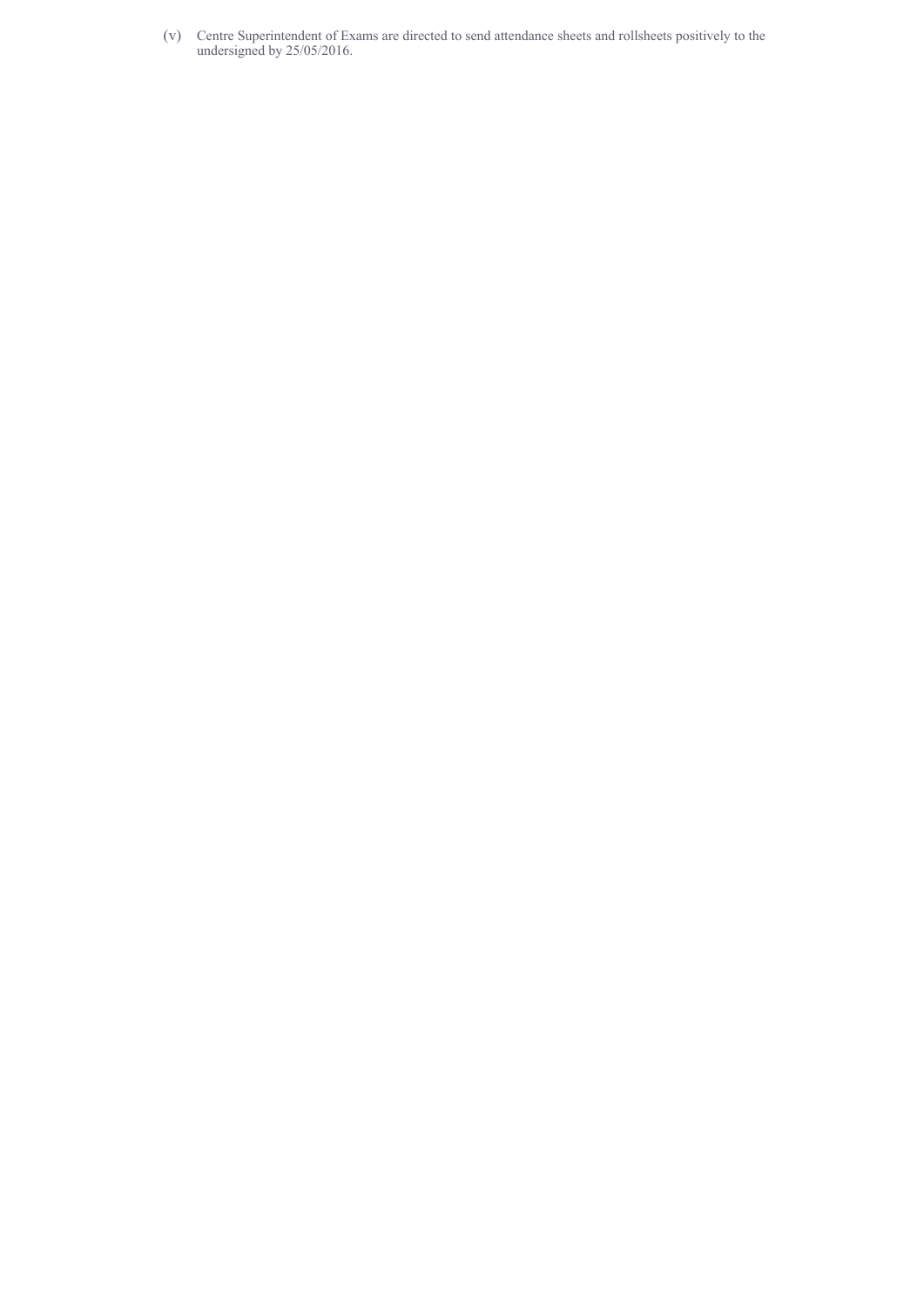(v) Centre Superintendent of Exams are directed to send attendance sheets and rollsheets positively to the undersigned by 25/05/2016.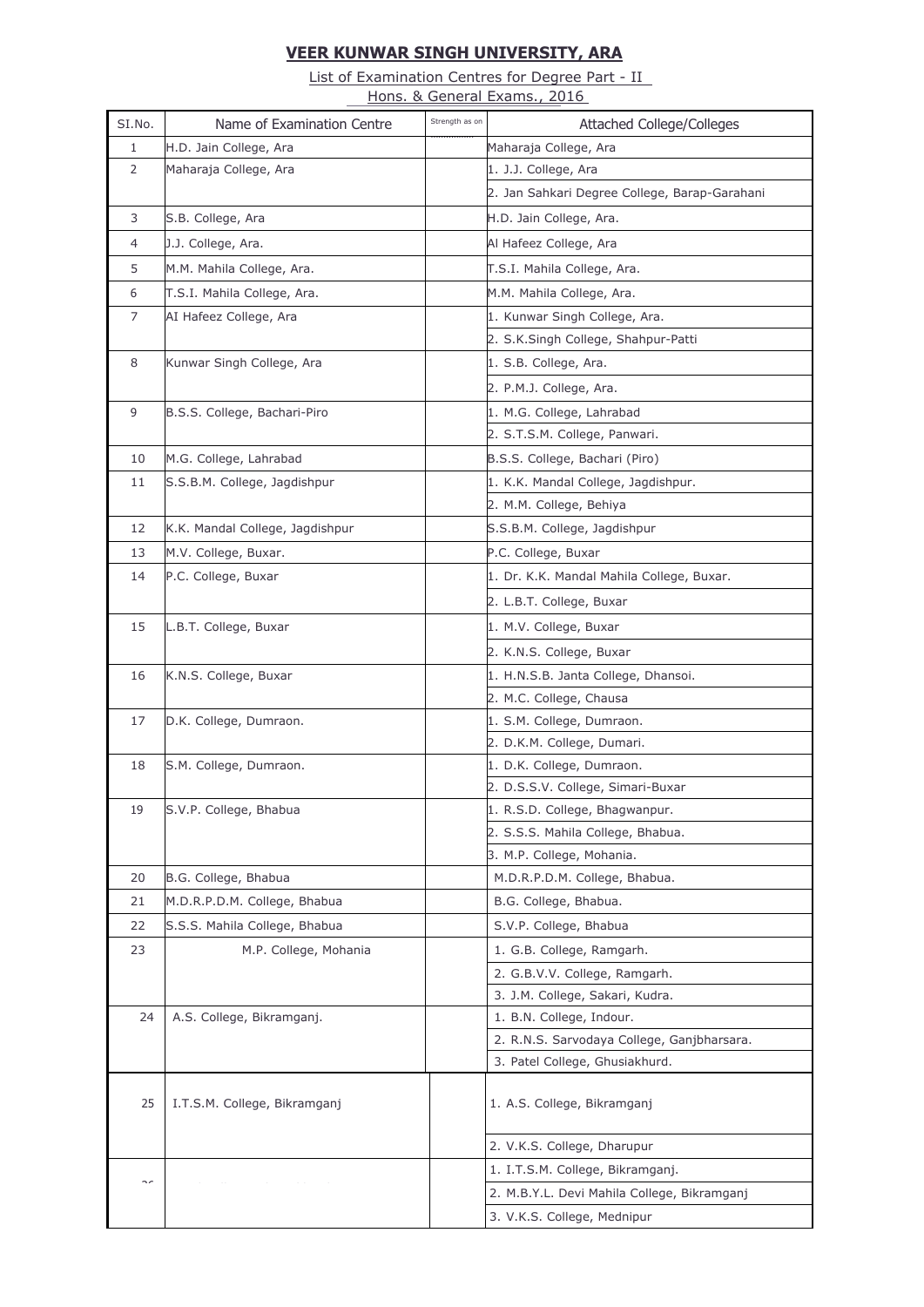## **VEER KUNWAR SINGH UNIVERSITY, ARA**

List of Examination Centres for Degree Part - II Hons. & General Exams., 2016

| SI.No.         | Name of Examination Centre      | Strength as on | <b>Attached College/Colleges</b>                                             |
|----------------|---------------------------------|----------------|------------------------------------------------------------------------------|
| $\mathbf{1}$   | H.D. Jain College, Ara          |                | Maharaja College, Ara                                                        |
| 2              | Maharaja College, Ara           |                | 1. J.J. College, Ara                                                         |
|                |                                 |                | 2. Jan Sahkari Degree College, Barap-Garahani                                |
| 3              | S.B. College, Ara               |                | H.D. Jain College, Ara.                                                      |
| $\overline{4}$ | J.J. College, Ara.              |                | Al Hafeez College, Ara                                                       |
| 5              | M.M. Mahila College, Ara.       |                | T.S.I. Mahila College, Ara.                                                  |
| 6              | T.S.I. Mahila College, Ara.     |                | M.M. Mahila College, Ara.                                                    |
| 7              | AI Hafeez College, Ara          |                | 1. Kunwar Singh College, Ara.                                                |
|                |                                 |                | 2. S.K.Singh College, Shahpur-Patti                                          |
| 8              | Kunwar Singh College, Ara       |                | 1. S.B. College, Ara.                                                        |
|                |                                 |                | 2. P.M.J. College, Ara.                                                      |
| 9              | B.S.S. College, Bachari-Piro    |                | 1. M.G. College, Lahrabad                                                    |
|                |                                 |                | 2. S.T.S.M. College, Panwari.                                                |
| 10             | M.G. College, Lahrabad          |                | B.S.S. College, Bachari (Piro)                                               |
| 11             | S.S.B.M. College, Jagdishpur    |                | 1. K.K. Mandal College, Jagdishpur.                                          |
|                |                                 |                | 2. M.M. College, Behiya                                                      |
| 12             | K.K. Mandal College, Jagdishpur |                | S.S.B.M. College, Jagdishpur                                                 |
| 13             | M.V. College, Buxar.            |                | P.C. College, Buxar                                                          |
| 14             | P.C. College, Buxar             |                | 1. Dr. K.K. Mandal Mahila College, Buxar.                                    |
|                |                                 |                | 2. L.B.T. College, Buxar                                                     |
| 15             | L.B.T. College, Buxar           |                | 1. M.V. College, Buxar                                                       |
|                |                                 |                | 2. K.N.S. College, Buxar                                                     |
| 16             | K.N.S. College, Buxar           |                | 1. H.N.S.B. Janta College, Dhansoi.                                          |
|                |                                 |                | 2. M.C. College, Chausa                                                      |
| 17             | D.K. College, Dumraon.          |                | 1. S.M. College, Dumraon.                                                    |
|                |                                 |                | 2. D.K.M. College, Dumari.                                                   |
| 18             | S.M. College, Dumraon.          |                | 1. D.K. College, Dumraon.                                                    |
|                |                                 |                | 2. D.S.S.V. College, Simari-Buxar                                            |
| 19             | S.V.P. College, Bhabua          |                | 1. R.S.D. College, Bhagwanpur.                                               |
|                |                                 |                | 2. S.S.S. Mahila College, Bhabua.                                            |
|                |                                 |                | 3. M.P. College, Mohania.                                                    |
| 20             | B.G. College, Bhabua            |                | M.D.R.P.D.M. College, Bhabua.                                                |
| 21             | M.D.R.P.D.M. College, Bhabua    |                | B.G. College, Bhabua.                                                        |
| 22             | S.S.S. Mahila College, Bhabua   |                | S.V.P. College, Bhabua                                                       |
| 23             | M.P. College, Mohania           |                | 1. G.B. College, Ramgarh.                                                    |
|                |                                 |                | 2. G.B.V.V. College, Ramgarh.                                                |
|                |                                 |                | 3. J.M. College, Sakari, Kudra.                                              |
| 24             | A.S. College, Bikramganj.       |                | 1. B.N. College, Indour.                                                     |
|                |                                 |                | 2. R.N.S. Sarvodaya College, Ganjbharsara.<br>3. Patel College, Ghusiakhurd. |
|                |                                 |                |                                                                              |
| 25             | I.T.S.M. College, Bikramganj    |                | 1. A.S. College, Bikramganj                                                  |
|                |                                 |                |                                                                              |
|                |                                 |                | 2. V.K.S. College, Dharupur                                                  |
| $\sim$         |                                 |                | 1. I.T.S.M. College, Bikramganj.                                             |
|                |                                 |                | 2. M.B.Y.L. Devi Mahila College, Bikramganj                                  |
|                |                                 |                | 3. V.K.S. College, Mednipur                                                  |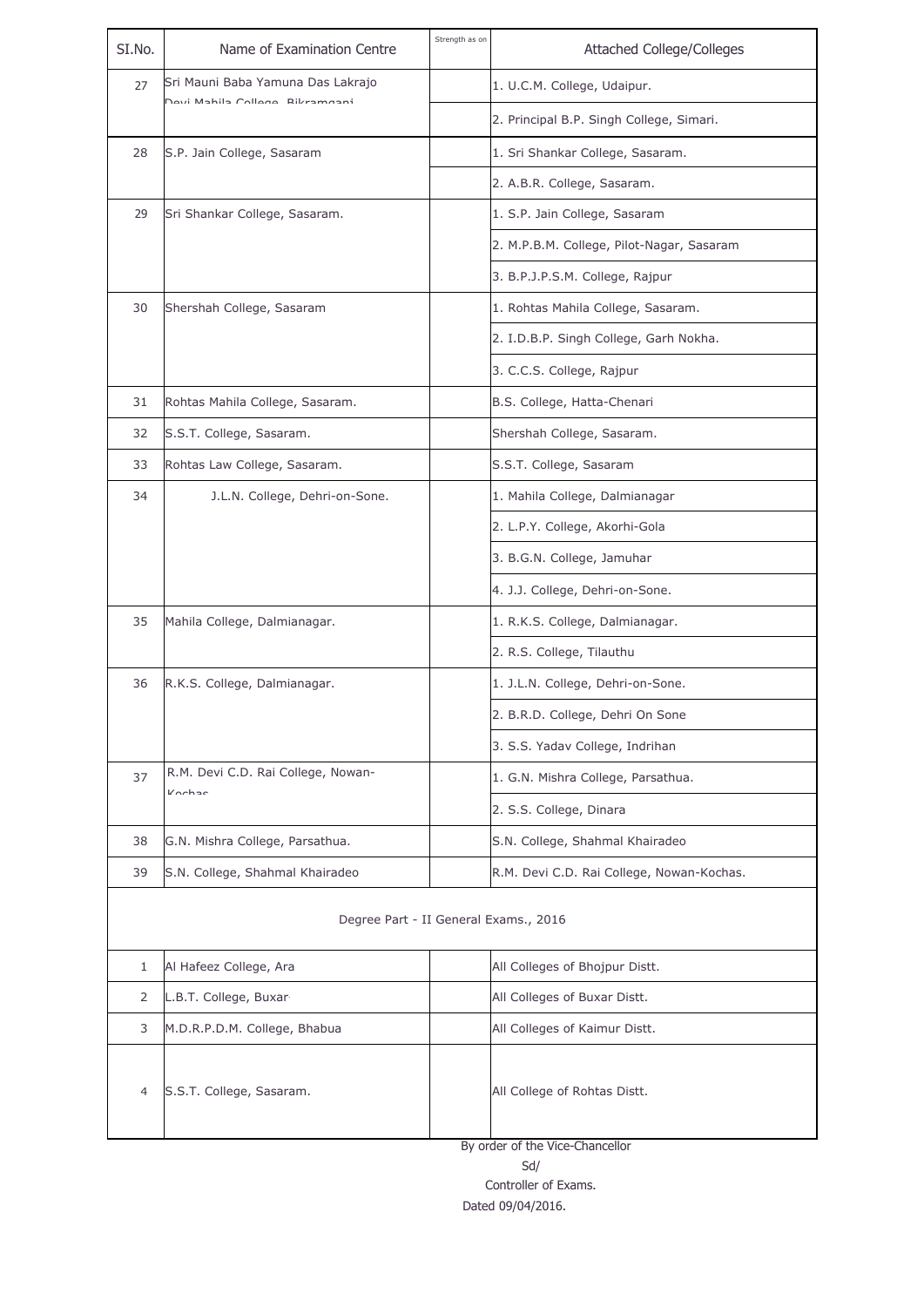| SI.No.                                | Name of Examination Centre                   | Strength as on | <b>Attached College/Colleges</b>                                |
|---------------------------------------|----------------------------------------------|----------------|-----------------------------------------------------------------|
| 27                                    | Sri Mauni Baba Yamuna Das Lakrajo            |                | 1. U.C.M. College, Udaipur.                                     |
|                                       | Dovi Mahila Collogo Bilvamaani               |                | 2. Principal B.P. Singh College, Simari.                        |
| 28                                    | S.P. Jain College, Sasaram                   |                | 1. Sri Shankar College, Sasaram.                                |
|                                       |                                              |                | 2. A.B.R. College, Sasaram.                                     |
| 29                                    | Sri Shankar College, Sasaram.                |                | 1. S.P. Jain College, Sasaram                                   |
|                                       |                                              |                | 2. M.P.B.M. College, Pilot-Nagar, Sasaram                       |
|                                       |                                              |                | 3. B.P.J.P.S.M. College, Rajpur                                 |
| 30                                    | Shershah College, Sasaram                    |                | 1. Rohtas Mahila College, Sasaram.                              |
|                                       |                                              |                | 2. I.D.B.P. Singh College, Garh Nokha.                          |
|                                       |                                              |                | 3. C.C.S. College, Rajpur                                       |
| 31                                    | Rohtas Mahila College, Sasaram.              |                | B.S. College, Hatta-Chenari                                     |
| 32                                    | S.S.T. College, Sasaram.                     |                | Shershah College, Sasaram.                                      |
| 33                                    | Rohtas Law College, Sasaram.                 |                | S.S.T. College, Sasaram                                         |
| 34                                    | J.L.N. College, Dehri-on-Sone.               |                | 1. Mahila College, Dalmianagar                                  |
|                                       |                                              |                | 2. L.P.Y. College, Akorhi-Gola                                  |
|                                       |                                              |                | 3. B.G.N. College, Jamuhar                                      |
|                                       |                                              |                | 4. J.J. College, Dehri-on-Sone.                                 |
| 35                                    | Mahila College, Dalmianagar.                 |                | 1. R.K.S. College, Dalmianagar.                                 |
|                                       |                                              |                | 2. R.S. College, Tilauthu                                       |
| 36                                    | R.K.S. College, Dalmianagar.                 |                | 1. J.L.N. College, Dehri-on-Sone.                               |
|                                       |                                              |                | 2. B.R.D. College, Dehri On Sone                                |
|                                       |                                              |                | 3. S.S. Yadav College, Indrihan                                 |
| 37                                    | R.M. Devi C.D. Rai College, Nowan-<br>Kochac |                | 1. G.N. Mishra College, Parsathua.                              |
|                                       |                                              |                | 2. S.S. College, Dinara                                         |
| 38                                    | G.N. Mishra College, Parsathua.              |                | S.N. College, Shahmal Khairadeo                                 |
| 39                                    | S.N. College, Shahmal Khairadeo              |                | R.M. Devi C.D. Rai College, Nowan-Kochas.                       |
| Degree Part - II General Exams., 2016 |                                              |                |                                                                 |
| 1                                     | Al Hafeez College, Ara                       |                | All Colleges of Bhojpur Distt.                                  |
| $\overline{2}$                        | L.B.T. College, Buxar                        |                | All Colleges of Buxar Distt.                                    |
| 3                                     | M.D.R.P.D.M. College, Bhabua                 |                | All Colleges of Kaimur Distt.                                   |
| 4                                     | S.S.T. College, Sasaram.                     |                | All College of Rohtas Distt.<br>By order of the Vice-Chancellor |

Controller of Exams. Dated 09/04/2016.